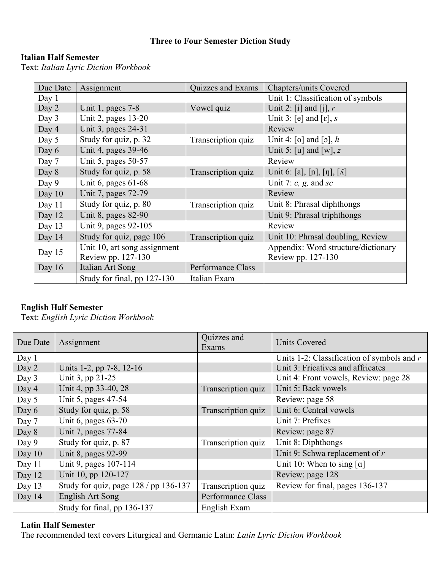### **Three to Four Semester Diction Study**

### **Italian Half Semester**

Text: *Italian Lyric Diction Workbook* 

| Due Date | Assignment                   | Quizzes and Exams  | Chapters/units Covered               |
|----------|------------------------------|--------------------|--------------------------------------|
| Day 1    |                              |                    | Unit 1: Classification of symbols    |
| Day 2    | Unit 1, pages 7-8            | Vowel quiz         | Unit 2: [i] and [j], $r$             |
| Day 3    | Unit 2, pages 13-20          |                    | Unit 3: [e] and [ $\varepsilon$ ], s |
| Day 4    | Unit 3, pages 24-31          |                    | Review                               |
| Day 5    | Study for quiz, p. 32        | Transcription quiz | Unit 4: [o] and [o], $h$             |
| Day 6    | Unit 4, pages 39-46          |                    | Unit 5: [u] and [w], z               |
| Day 7    | Unit 5, pages 50-57          |                    | Review                               |
| Day 8    | Study for quiz, p. 58        | Transcription quiz | Unit 6: [a], [ɲ], [ŋ], [ʎ]           |
| Day 9    | Unit 6, pages $61-68$        |                    | Unit 7: $c$ , $g$ , and $sc$         |
| Day $10$ | Unit 7, pages 72-79          |                    | Review                               |
| Day $11$ | Study for quiz, p. 80        | Transcription quiz | Unit 8: Phrasal diphthongs           |
| Day 12   | Unit 8, pages 82-90          |                    | Unit 9: Phrasal triphthongs          |
| Day $13$ | Unit 9, pages 92-105         |                    | Review                               |
| Day $14$ | Study for quiz, page 106     | Transcription quiz | Unit 10: Phrasal doubling, Review    |
| Day 15   | Unit 10, art song assignment |                    | Appendix: Word structure/dictionary  |
|          | Review pp. 127-130           |                    | Review pp. 127-130                   |
| Day $16$ | <b>Italian Art Song</b>      | Performance Class  |                                      |
|          | Study for final, pp 127-130  | Italian Exam       |                                      |

### **English Half Semester**

Text: *English Lyric Diction Workbook* 

| Due Date | Assignment                            | Quizzes and<br>Exams | <b>Units Covered</b>                         |
|----------|---------------------------------------|----------------------|----------------------------------------------|
| Day 1    |                                       |                      | Units 1-2: Classification of symbols and $r$ |
| Day 2    | Units 1-2, pp 7-8, 12-16              |                      | Unit 3: Fricatives and affricates            |
| Day 3    | Unit 3, pp 21-25                      |                      | Unit 4: Front vowels, Review: page 28        |
| Day 4    | Unit 4, pp 33-40, 28                  | Transcription quiz   | Unit 5: Back vowels                          |
| Day 5    | Unit 5, pages 47-54                   |                      | Review: page 58                              |
| Day 6    | Study for quiz, p. 58                 | Transcription quiz   | Unit 6: Central vowels                       |
| Day 7    | Unit 6, pages 63-70                   |                      | Unit 7: Prefixes                             |
| Day 8    | Unit 7, pages 77-84                   |                      | Review: page 87                              |
| Day 9    | Study for quiz, p. 87                 | Transcription quiz   | Unit 8: Diphthongs                           |
| Day $10$ | Unit 8, pages 92-99                   |                      | Unit 9: Schwa replacement of $r$             |
| Day 11   | Unit 9, pages 107-114                 |                      | Unit 10: When to sing $[a]$                  |
| Day 12   | Unit 10, pp 120-127                   |                      | Review: page 128                             |
| Day $13$ | Study for quiz, page $128/pp 136-137$ | Transcription quiz   | Review for final, pages 136-137              |
| Day 14   | English Art Song                      | Performance Class    |                                              |
|          | Study for final, pp 136-137           | English Exam         |                                              |

#### **Latin Half Semester**

The recommended text covers Liturgical and Germanic Latin: *Latin Lyric Diction Workbook*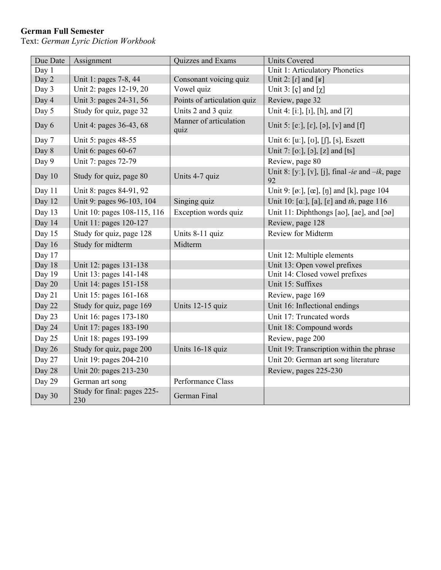# **German Full Semester**

Text: *German Lyric Diction Workbook* 

| Due Date | Assignment                         | Quizzes and Exams              | <b>Units Covered</b>                                     |
|----------|------------------------------------|--------------------------------|----------------------------------------------------------|
| Day 1    |                                    |                                | Unit 1: Articulatory Phonetics                           |
| Day 2    | Unit 1: pages 7-8, 44              | Consonant voicing quiz         | Unit 2: $[r]$ and $[k]$                                  |
| Day 3    | Unit 2: pages 12-19, 20            | Vowel quiz                     | Unit 3: $[c]$ and $[\chi]$                               |
| Day 4    | Unit 3: pages 24-31, 56            | Points of articulation quiz    | Review, page 32                                          |
| Day 5    | Study for quiz, page 32            | Units 2 and 3 quiz             | Unit 4: [iː], [i], [h], and [?]                          |
| Day 6    | Unit 4: pages 36-43, 68            | Manner of articulation<br>quiz | Unit 5: [e:], [e], [ə], [v] and [f]                      |
| Day 7    | Unit 5: pages 48-55                |                                | Unit 6: [uː], [ʊ], [ʃ], [s], Eszett                      |
| Day 8    | Unit 6: pages 60-67                |                                | Unit 7: [o:], [o], [z] and [ts]                          |
| Day 9    | Unit 7: pages 72-79                |                                | Review, page 80                                          |
| Day 10   | Study for quiz, page 80            | Units 4-7 quiz                 | Unit 8: [y:], [Y], [j], final -ie and $-ik$ , page<br>92 |
| Day 11   | Unit 8: pages 84-91, 92            |                                | Unit 9: [ø:], [œ], [ŋ] and [k], page 104                 |
| Day 12   | Unit 9: pages 96-103, 104          | Singing quiz                   | Unit 10: [a:], [a], [ɛ] and th, page 116                 |
| Day 13   | Unit 10: pages 108-115, 116        | Exception words quiz           | Unit 11: Diphthongs [ao], [ae], and [oø]                 |
| Day 14   | Unit 11: pages 120-127             |                                | Review, page 128                                         |
| Day 15   | Study for quiz, page 128           | Units 8-11 quiz                | Review for Midterm                                       |
| Day 16   | Study for midterm                  | Midterm                        |                                                          |
| Day 17   |                                    |                                | Unit 12: Multiple elements                               |
| Day 18   | Unit 12: pages 131-138             |                                | Unit 13: Open vowel prefixes                             |
| Day 19   | Unit 13: pages 141-148             |                                | Unit 14: Closed vowel prefixes                           |
| Day 20   | Unit 14: pages 151-158             |                                | Unit 15: Suffixes                                        |
| Day 21   | Unit 15: pages 161-168             |                                | Review, page 169                                         |
| Day 22   | Study for quiz, page 169           | Units 12-15 quiz               | Unit 16: Inflectional endings                            |
| Day 23   | Unit 16: pages 173-180             |                                | Unit 17: Truncated words                                 |
| Day 24   | Unit 17: pages 183-190             |                                | Unit 18: Compound words                                  |
| Day 25   | Unit 18: pages 193-199             |                                | Review, page 200                                         |
| Day 26   | Study for quiz, page 200           | Units 16-18 quiz               | Unit 19: Transcription within the phrase                 |
| Day 27   | Unit 19: pages 204-210             |                                | Unit 20: German art song literature                      |
| Day 28   | Unit 20: pages 213-230             |                                | Review, pages 225-230                                    |
| Day 29   | German art song                    | Performance Class              |                                                          |
| Day 30   | Study for final: pages 225-<br>230 | German Final                   |                                                          |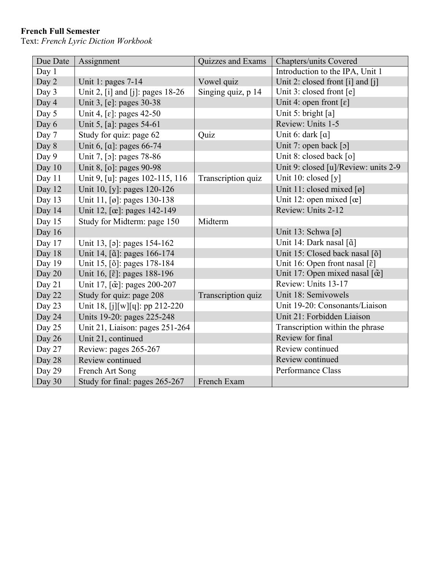# **French Full Semester**

Text: *French Lyric Diction Workbook* 

| Due Date | Assignment                                     | Quizzes and Exams  | Chapters/units Covered                            |
|----------|------------------------------------------------|--------------------|---------------------------------------------------|
| Day 1    |                                                |                    | Introduction to the IPA, Unit 1                   |
| Day 2    | Unit 1: pages $7-14$                           | Vowel quiz         | Unit 2: closed front [i] and [j]                  |
| Day 3    | Unit 2, [i] and [j]: pages 18-26               | Singing quiz, p 14 | Unit 3: closed front [e]                          |
| Day 4    | Unit 3, [e]: pages 30-38                       |                    | Unit 4: open front $[\epsilon]$                   |
| Day 5    | Unit 4, [ $\epsilon$ ]: pages 42-50            |                    | Unit 5: bright [a]                                |
| Day 6    | Unit 5, [a]: pages 54-61                       |                    | Review: Units 1-5                                 |
| Day 7    | Study for quiz: page 62                        | Quiz               | Unit 6: dark [a]                                  |
| Day 8    | Unit 6, [a]: pages 66-74                       |                    | Unit 7: open back [0]                             |
| Day 9    | Unit 7, [o]: pages 78-86                       |                    | Unit 8: closed back [0]                           |
| Day 10   | Unit 8, [o]: pages 90-98                       |                    | Unit 9: closed [u]/Review: units 2-9              |
| Day 11   | Unit 9, [u]: pages 102-115, 116                | Transcription quiz | Unit 10: closed [y]                               |
| Day 12   | Unit 10, [y]: pages 120-126                    |                    | Unit 11: closed mixed $\lceil \varnothing \rceil$ |
| Day 13   | Unit 11, [ø]: pages 130-138                    |                    | Unit 12: open mixed $[\alpha]$                    |
| Day 14   | Unit 12, [œ]: pages 142-149                    |                    | Review: Units 2-12                                |
| Day 15   | Study for Midterm: page 150                    | Midterm            |                                                   |
| Day 16   |                                                |                    | Unit 13: Schwa [ə]                                |
| Day 17   | Unit 13, [a]: pages 154-162                    |                    | Unit 14: Dark nasal [ã]                           |
| Day 18   | Unit 14, [ $\tilde{a}$ ]: pages 166-174        |                    | Unit 15: Closed back nasal [õ]                    |
| Day 19   | Unit 15, [õ]: pages 178-184                    |                    | Unit 16: Open front nasal [ $\tilde{\epsilon}$ ]  |
| Day 20   | Unit 16, [ $\tilde{\epsilon}$ ]: pages 188-196 |                    | Unit 17: Open mixed nasal [œ̃]                    |
| Day 21   | Unit 17, [ce]: pages 200-207                   |                    | Review: Units 13-17                               |
| Day 22   | Study for quiz: page 208                       | Transcription quiz | Unit 18: Semivowels                               |
| Day 23   | Unit 18, [j][w][q]: pp 212-220                 |                    | Unit 19-20: Consonants/Liaison                    |
| Day 24   | Units 19-20: pages 225-248                     |                    | Unit 21: Forbidden Liaison                        |
| Day 25   | Unit 21, Liaison: pages 251-264                |                    | Transcription within the phrase                   |
| Day 26   | Unit 21, continued                             |                    | Review for final                                  |
| Day 27   | Review: pages 265-267                          |                    | Review continued                                  |
| Day 28   | Review continued                               |                    | Review continued                                  |
| Day 29   | French Art Song                                |                    | <b>Performance Class</b>                          |
| Day 30   | Study for final: pages 265-267                 | French Exam        |                                                   |